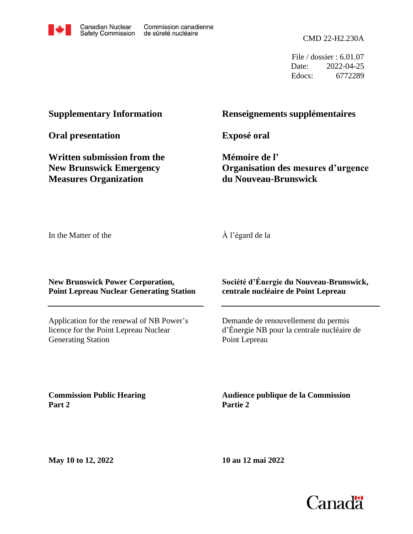

File / dossier : 6.01.07 Date: 2022-04-25 Edocs: 6772289

## **Supplementary Information**

**Oral presentation**

**Written submission from the New Brunswick Emergency Measures Organization**

## **Renseignements supplémentaires**

**Exposé oral**

**Mémoire de l' Organisation des mesures d'urgence du Nouveau-Brunswick**

In the Matter of the

À l'égard de la

**New Brunswick Power Corporation, Point Lepreau Nuclear Generating Station**

Application for the renewal of NB Power's licence for the Point Lepreau Nuclear Generating Station

**Société d'Énergie du Nouveau-Brunswick, centrale nucléaire de Point Lepreau**

Demande de renouvellement du permis d'Énergie NB pour la centrale nucléaire de Point Lepreau

**Commission Public Hearing Part 2**

**Audience publique de la Commission Partie 2**

**May 10 to 12, 2022**

**10 au 12 mai 2022**

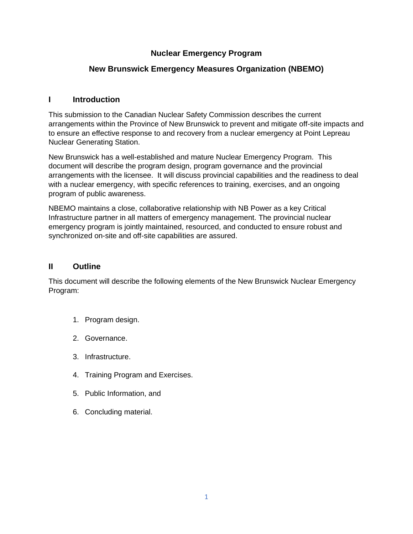## **Nuclear Emergency Program**

## **New Brunswick Emergency Measures Organization (NBEMO)**

## **I Introduction**

This submission to the Canadian Nuclear Safety Commission describes the current arrangements within the Province of New Brunswick to prevent and mitigate off-site impacts and to ensure an effective response to and recovery from a nuclear emergency at Point Lepreau Nuclear Generating Station.

New Brunswick has a well-established and mature Nuclear Emergency Program. This document will describe the program design, program governance and the provincial arrangements with the licensee. It will discuss provincial capabilities and the readiness to deal with a nuclear emergency, with specific references to training, exercises, and an ongoing program of public awareness.

NBEMO maintains a close, collaborative relationship with NB Power as a key Critical Infrastructure partner in all matters of emergency management. The provincial nuclear emergency program is jointly maintained, resourced, and conducted to ensure robust and synchronized on-site and off-site capabilities are assured.

## **II Outline**

This document will describe the following elements of the New Brunswick Nuclear Emergency Program:

- 1. Program design.
- 2. Governance.
- 3. Infrastructure.
- 4. Training Program and Exercises.
- 5. Public Information, and
- 6. Concluding material.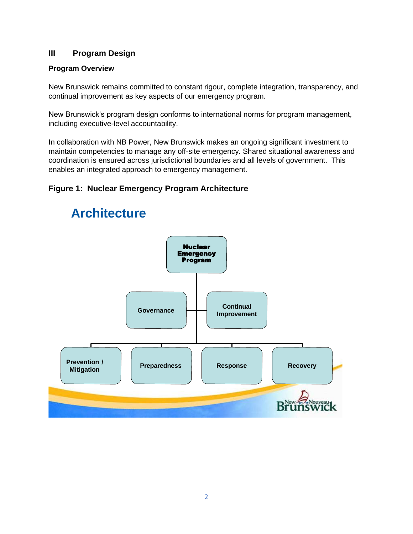## **III Program Design**

## **Program Overview**

New Brunswick remains committed to constant rigour, complete integration, transparency, and continual improvement as key aspects of our emergency program.

New Brunswick's program design conforms to international norms for program management, including executive-level accountability.

In collaboration with NB Power, New Brunswick makes an ongoing significant investment to maintain competencies to manage any off-site emergency. Shared situational awareness and coordination is ensured across jurisdictional boundaries and all levels of government. This enables an integrated approach to emergency management.

## **Figure 1: Nuclear Emergency Program Architecture**



# **Architecture**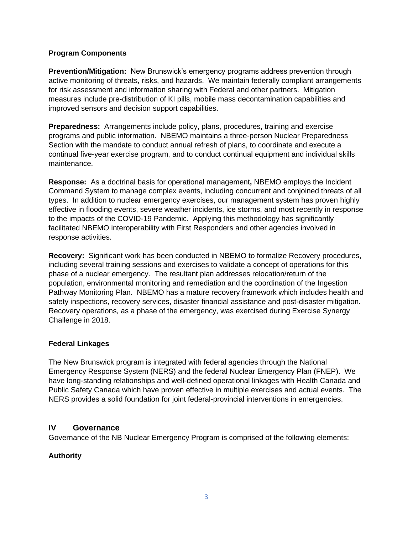## **Program Components**

**Prevention/Mitigation:** New Brunswick's emergency programs address prevention through active monitoring of threats, risks, and hazards. We maintain federally compliant arrangements for risk assessment and information sharing with Federal and other partners. Mitigation measures include pre-distribution of KI pills, mobile mass decontamination capabilities and improved sensors and decision support capabilities.

**Preparedness:** Arrangements include policy, plans, procedures, training and exercise programs and public information. NBEMO maintains a three-person Nuclear Preparedness Section with the mandate to conduct annual refresh of plans, to coordinate and execute a continual five-year exercise program, and to conduct continual equipment and individual skills maintenance.

**Response:** As a doctrinal basis for operational management**,** NBEMO employs the Incident Command System to manage complex events, including concurrent and conjoined threats of all types. In addition to nuclear emergency exercises, our management system has proven highly effective in flooding events, severe weather incidents, ice storms, and most recently in response to the impacts of the COVID-19 Pandemic. Applying this methodology has significantly facilitated NBEMO interoperability with First Responders and other agencies involved in response activities.

**Recovery:** Significant work has been conducted in NBEMO to formalize Recovery procedures, including several training sessions and exercises to validate a concept of operations for this phase of a nuclear emergency. The resultant plan addresses relocation/return of the population, environmental monitoring and remediation and the coordination of the Ingestion Pathway Monitoring Plan. NBEMO has a mature recovery framework which includes health and safety inspections, recovery services, disaster financial assistance and post-disaster mitigation. Recovery operations, as a phase of the emergency, was exercised during Exercise Synergy Challenge in 2018.

### **Federal Linkages**

The New Brunswick program is integrated with federal agencies through the National Emergency Response System (NERS) and the federal Nuclear Emergency Plan (FNEP). We have long-standing relationships and well-defined operational linkages with Health Canada and Public Safety Canada which have proven effective in multiple exercises and actual events. The NERS provides a solid foundation for joint federal-provincial interventions in emergencies.

## **IV Governance**

Governance of the NB Nuclear Emergency Program is comprised of the following elements:

## **Authority**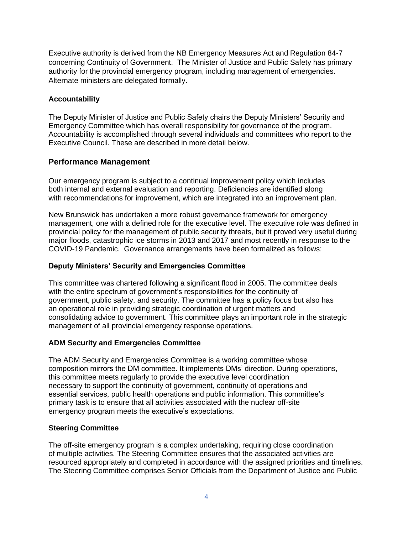Executive authority is derived from the NB Emergency Measures Act and Regulation 84-7 concerning Continuity of Government. The Minister of Justice and Public Safety has primary authority for the provincial emergency program, including management of emergencies. Alternate ministers are delegated formally.

## **Accountability**

The Deputy Minister of Justice and Public Safety chairs the Deputy Ministers' Security and Emergency Committee which has overall responsibility for governance of the program. Accountability is accomplished through several individuals and committees who report to the Executive Council. These are described in more detail below.

## **Performance Management**

Our emergency program is subject to a continual improvement policy which includes both internal and external evaluation and reporting. Deficiencies are identified along with recommendations for improvement, which are integrated into an improvement plan.

New Brunswick has undertaken a more robust governance framework for emergency management, one with a defined role for the executive level. The executive role was defined in provincial policy for the management of public security threats, but it proved very useful during major floods, catastrophic ice storms in 2013 and 2017 and most recently in response to the COVID-19 Pandemic. Governance arrangements have been formalized as follows:

## **Deputy Ministers' Security and Emergencies Committee**

This committee was chartered following a significant flood in 2005. The committee deals with the entire spectrum of government's responsibilities for the continuity of government, public safety, and security. The committee has a policy focus but also has an operational role in providing strategic coordination of urgent matters and consolidating advice to government. This committee plays an important role in the strategic management of all provincial emergency response operations.

### **ADM Security and Emergencies Committee**

The ADM Security and Emergencies Committee is a working committee whose composition mirrors the DM committee. It implements DMs' direction. During operations, this committee meets regularly to provide the executive level coordination necessary to support the continuity of government, continuity of operations and essential services, public health operations and public information. This committee's primary task is to ensure that all activities associated with the nuclear off-site emergency program meets the executive's expectations.

### **Steering Committee**

The off-site emergency program is a complex undertaking, requiring close coordination of multiple activities. The Steering Committee ensures that the associated activities are resourced appropriately and completed in accordance with the assigned priorities and timelines. The Steering Committee comprises Senior Officials from the Department of Justice and Public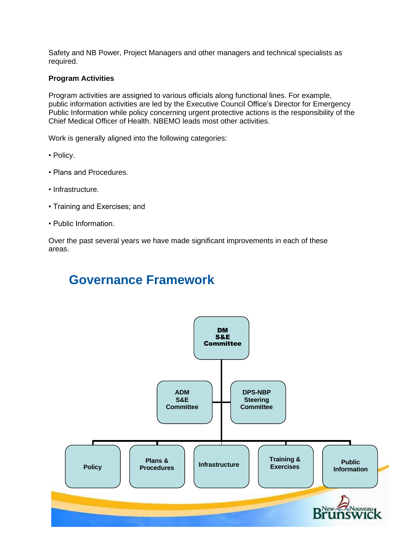Safety and NB Power, Project Managers and other managers and technical specialists as required.

### **Program Activities**

Program activities are assigned to various officials along functional lines. For example, public information activities are led by the Executive Council Office's Director for Emergency Public Information while policy concerning urgent protective actions is the responsibility of the Chief Medical Officer of Health. NBEMO leads most other activities.

Work is generally aligned into the following categories:

- Policy.
- Plans and Procedures.
- Infrastructure.
- Training and Exercises; and
- Public Information.

Over the past several years we have made significant improvements in each of these areas.

# **Governance Framework**

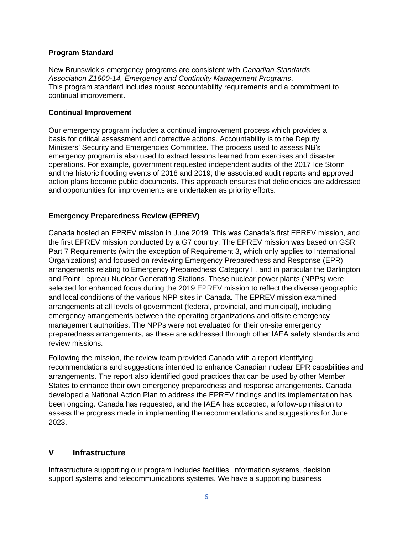### **Program Standard**

New Brunswick's emergency programs are consistent with *Canadian Standards Association Z1600-14, Emergency and Continuity Management Programs*. This program standard includes robust accountability requirements and a commitment to continual improvement.

#### **Continual Improvement**

Our emergency program includes a continual improvement process which provides a basis for critical assessment and corrective actions. Accountability is to the Deputy Ministers' Security and Emergencies Committee. The process used to assess NB's emergency program is also used to extract lessons learned from exercises and disaster operations. For example, government requested independent audits of the 2017 Ice Storm and the historic flooding events of 2018 and 2019; the associated audit reports and approved action plans become public documents. This approach ensures that deficiencies are addressed and opportunities for improvements are undertaken as priority efforts.

### **Emergency Preparedness Review (EPREV)**

Canada hosted an EPREV mission in June 2019. This was Canada's first EPREV mission, and the first EPREV mission conducted by a G7 country. The EPREV mission was based on GSR Part 7 Requirements (with the exception of Requirement 3, which only applies to International Organizations) and focused on reviewing Emergency Preparedness and Response (EPR) arrangements relating to Emergency Preparedness Category I , and in particular the Darlington and Point Lepreau Nuclear Generating Stations. These nuclear power plants (NPPs) were selected for enhanced focus during the 2019 EPREV mission to reflect the diverse geographic and local conditions of the various NPP sites in Canada. The EPREV mission examined arrangements at all levels of government (federal, provincial, and municipal), including emergency arrangements between the operating organizations and offsite emergency management authorities. The NPPs were not evaluated for their on-site emergency preparedness arrangements, as these are addressed through other IAEA safety standards and review missions.

Following the mission, the review team provided Canada with a report identifying recommendations and suggestions intended to enhance Canadian nuclear EPR capabilities and arrangements. The report also identified good practices that can be used by other Member States to enhance their own emergency preparedness and response arrangements. Canada developed a National Action Plan to address the EPREV findings and its implementation has been ongoing. Canada has requested, and the IAEA has accepted, a follow-up mission to assess the progress made in implementing the recommendations and suggestions for June 2023.

## **V Infrastructure**

Infrastructure supporting our program includes facilities, information systems, decision support systems and telecommunications systems. We have a supporting business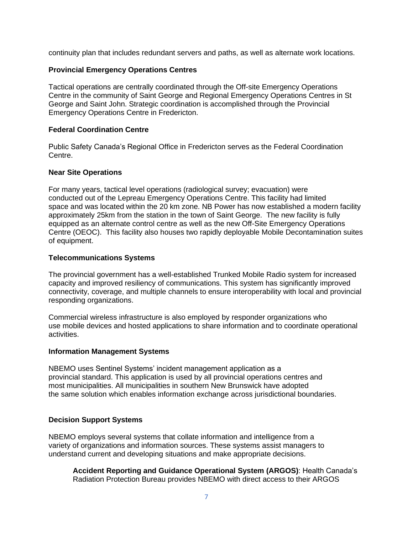continuity plan that includes redundant servers and paths, as well as alternate work locations.

### **Provincial Emergency Operations Centres**

Tactical operations are centrally coordinated through the Off-site Emergency Operations Centre in the community of Saint George and Regional Emergency Operations Centres in St George and Saint John. Strategic coordination is accomplished through the Provincial Emergency Operations Centre in Fredericton.

### **Federal Coordination Centre**

Public Safety Canada's Regional Office in Fredericton serves as the Federal Coordination Centre.

### **Near Site Operations**

For many years, tactical level operations (radiological survey; evacuation) were conducted out of the Lepreau Emergency Operations Centre. This facility had limited space and was located within the 20 km zone. NB Power has now established a modern facility approximately 25km from the station in the town of Saint George. The new facility is fully equipped as an alternate control centre as well as the new Off-Site Emergency Operations Centre (OEOC). This facility also houses two rapidly deployable Mobile Decontamination suites of equipment.

### **Telecommunications Systems**

The provincial government has a well-established Trunked Mobile Radio system for increased capacity and improved resiliency of communications. This system has significantly improved connectivity, coverage, and multiple channels to ensure interoperability with local and provincial responding organizations.

Commercial wireless infrastructure is also employed by responder organizations who use mobile devices and hosted applications to share information and to coordinate operational activities.

#### **Information Management Systems**

NBEMO uses Sentinel Systems' incident management application as a provincial standard. This application is used by all provincial operations centres and most municipalities. All municipalities in southern New Brunswick have adopted the same solution which enables information exchange across jurisdictional boundaries.

### **Decision Support Systems**

NBEMO employs several systems that collate information and intelligence from a variety of organizations and information sources. These systems assist managers to understand current and developing situations and make appropriate decisions.

**Accident Reporting and Guidance Operational System (ARGOS)**: Health Canada's Radiation Protection Bureau provides NBEMO with direct access to their ARGOS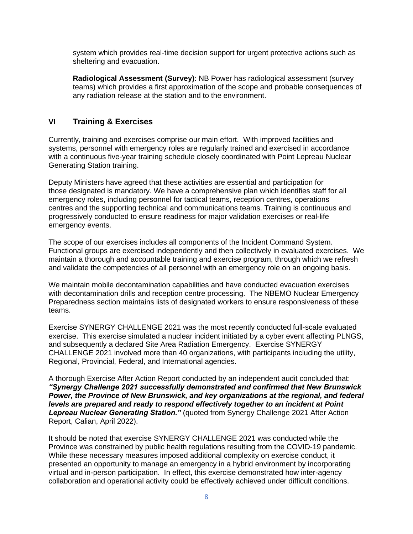system which provides real-time decision support for urgent protective actions such as sheltering and evacuation.

**Radiological Assessment (Survey)**: NB Power has radiological assessment (survey teams) which provides a first approximation of the scope and probable consequences of any radiation release at the station and to the environment.

## **VI Training & Exercises**

Currently, training and exercises comprise our main effort. With improved facilities and systems, personnel with emergency roles are regularly trained and exercised in accordance with a continuous five-year training schedule closely coordinated with Point Lepreau Nuclear Generating Station training.

Deputy Ministers have agreed that these activities are essential and participation for those designated is mandatory. We have a comprehensive plan which identifies staff for all emergency roles, including personnel for tactical teams, reception centres, operations centres and the supporting technical and communications teams. Training is continuous and progressively conducted to ensure readiness for major validation exercises or real-life emergency events.

The scope of our exercises includes all components of the Incident Command System. Functional groups are exercised independently and then collectively in evaluated exercises. We maintain a thorough and accountable training and exercise program, through which we refresh and validate the competencies of all personnel with an emergency role on an ongoing basis.

We maintain mobile decontamination capabilities and have conducted evacuation exercises with decontamination drills and reception centre processing. The NBEMO Nuclear Emergency Preparedness section maintains lists of designated workers to ensure responsiveness of these teams.

Exercise SYNERGY CHALLENGE 2021 was the most recently conducted full-scale evaluated exercise. This exercise simulated a nuclear incident initiated by a cyber event affecting PLNGS, and subsequently a declared Site Area Radiation Emergency. Exercise SYNERGY CHALLENGE 2021 involved more than 40 organizations, with participants including the utility, Regional, Provincial, Federal, and International agencies.

A thorough Exercise After Action Report conducted by an independent audit concluded that: *"Synergy Challenge 2021 successfully demonstrated and confirmed that New Brunswick Power, the Province of New Brunswick, and key organizations at the regional, and federal levels are prepared and ready to respond effectively together to an incident at Point Lepreau Nuclear Generating Station."* (quoted from Synergy Challenge 2021 After Action Report, Calian, April 2022).

It should be noted that exercise SYNERGY CHALLENGE 2021 was conducted while the Province was constrained by public health regulations resulting from the COVID-19 pandemic. While these necessary measures imposed additional complexity on exercise conduct, it presented an opportunity to manage an emergency in a hybrid environment by incorporating virtual and in-person participation. In effect, this exercise demonstrated how inter-agency collaboration and operational activity could be effectively achieved under difficult conditions.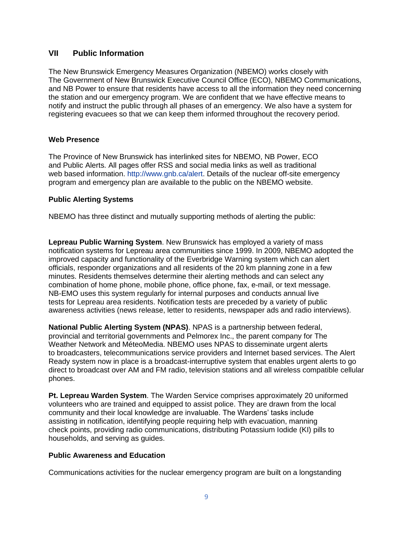## **VII Public Information**

The New Brunswick Emergency Measures Organization (NBEMO) works closely with The Government of New Brunswick Executive Council Office (ECO), NBEMO Communications, and NB Power to ensure that residents have access to all the information they need concerning the station and our emergency program. We are confident that we have effective means to notify and instruct the public through all phases of an emergency. We also have a system for registering evacuees so that we can keep them informed throughout the recovery period.

### **Web Presence**

The Province of New Brunswick has interlinked sites for NBEMO, NB Power, ECO and Public Alerts. All pages offer RSS and social media links as well as traditional web based information. http://www.gnb.ca/alert. Details of the nuclear off-site emergency program and emergency plan are available to the public on the NBEMO website.

### **Public Alerting Systems**

NBEMO has three distinct and mutually supporting methods of alerting the public:

**Lepreau Public Warning System**. New Brunswick has employed a variety of mass notification systems for Lepreau area communities since 1999. In 2009, NBEMO adopted the improved capacity and functionality of the Everbridge Warning system which can alert officials, responder organizations and all residents of the 20 km planning zone in a few minutes. Residents themselves determine their alerting methods and can select any combination of home phone, mobile phone, office phone, fax, e-mail, or text message. NB-EMO uses this system regularly for internal purposes and conducts annual live tests for Lepreau area residents. Notification tests are preceded by a variety of public awareness activities (news release, letter to residents, newspaper ads and radio interviews).

**National Public Alerting System (NPAS)**. NPAS is a partnership between federal, provincial and territorial governments and Pelmorex Inc., the parent company for The Weather Network and MéteoMedia. NBEMO uses NPAS to disseminate urgent alerts to broadcasters, telecommunications service providers and Internet based services. The Alert Ready system now in place is a broadcast-interruptive system that enables urgent alerts to go direct to broadcast over AM and FM radio, television stations and all wireless compatible cellular phones.

**Pt. Lepreau Warden System**. The Warden Service comprises approximately 20 uniformed volunteers who are trained and equipped to assist police. They are drawn from the local community and their local knowledge are invaluable. The Wardens' tasks include assisting in notification, identifying people requiring help with evacuation, manning check points, providing radio communications, distributing Potassium Iodide (KI) pills to households, and serving as guides.

### **Public Awareness and Education**

Communications activities for the nuclear emergency program are built on a longstanding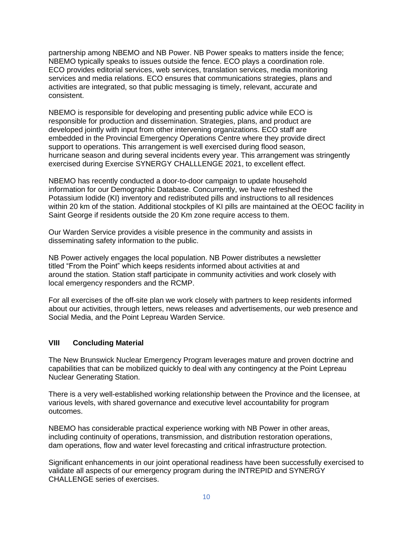partnership among NBEMO and NB Power. NB Power speaks to matters inside the fence; NBEMO typically speaks to issues outside the fence. ECO plays a coordination role. ECO provides editorial services, web services, translation services, media monitoring services and media relations. ECO ensures that communications strategies, plans and activities are integrated, so that public messaging is timely, relevant, accurate and consistent.

NBEMO is responsible for developing and presenting public advice while ECO is responsible for production and dissemination. Strategies, plans, and product are developed jointly with input from other intervening organizations. ECO staff are embedded in the Provincial Emergency Operations Centre where they provide direct support to operations. This arrangement is well exercised during flood season, hurricane season and during several incidents every year. This arrangement was stringently exercised during Exercise SYNERGY CHALLLENGE 2021, to excellent effect.

NBEMO has recently conducted a door-to-door campaign to update household information for our Demographic Database. Concurrently, we have refreshed the Potassium Iodide (KI) inventory and redistributed pills and instructions to all residences within 20 km of the station. Additional stockpiles of KI pills are maintained at the OEOC facility in Saint George if residents outside the 20 Km zone require access to them.

Our Warden Service provides a visible presence in the community and assists in disseminating safety information to the public.

NB Power actively engages the local population. NB Power distributes a newsletter titled "From the Point" which keeps residents informed about activities at and around the station. Station staff participate in community activities and work closely with local emergency responders and the RCMP.

For all exercises of the off-site plan we work closely with partners to keep residents informed about our activities, through letters, news releases and advertisements, our web presence and Social Media, and the Point Lepreau Warden Service.

### **VIII Concluding Material**

The New Brunswick Nuclear Emergency Program leverages mature and proven doctrine and capabilities that can be mobilized quickly to deal with any contingency at the Point Lepreau Nuclear Generating Station.

There is a very well-established working relationship between the Province and the licensee, at various levels, with shared governance and executive level accountability for program outcomes.

NBEMO has considerable practical experience working with NB Power in other areas, including continuity of operations, transmission, and distribution restoration operations, dam operations, flow and water level forecasting and critical infrastructure protection.

Significant enhancements in our joint operational readiness have been successfully exercised to validate all aspects of our emergency program during the INTREPID and SYNERGY CHALLENGE series of exercises.